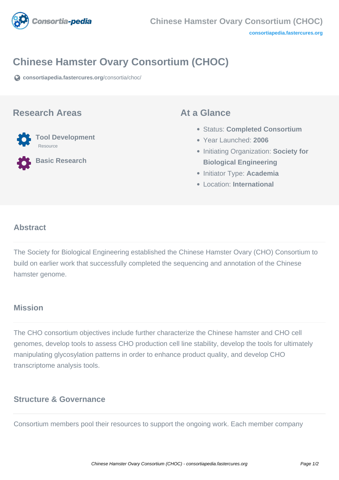

# **Chinese Hamster Ovary Consortium (CHOC)**

**[consortiapedia.fastercures.org](https://consortiapedia.fastercures.org/consortia/choc/)**[/consortia/choc/](https://consortiapedia.fastercures.org/consortia/choc/)

#### **Research Areas**



**Basic Research**

#### **At a Glance**

- Status: **Completed Consortium**
- Year Launched: **2006**
- **Initiating Organization: Society for Biological Engineering**
- Initiator Type: **Academia**
- Location: **International**

#### $\overline{a}$ **Abstract**

The Society for Biological Engineering established the Chinese Hamster Ovary (CHO) Consortium to build on earlier work that successfully completed the sequencing and annotation of the Chinese hamster genome.

## **Mission**

The CHO consortium objectives include further characterize the Chinese hamster and CHO cell genomes, develop tools to assess CHO production cell line stability, develop the tools for ultimately manipulating glycosylation patterns in order to enhance product quality, and develop CHO transcriptome analysis tools.

## **Structure & Governance**

Consortium members pool their resources to support the ongoing work. Each member company